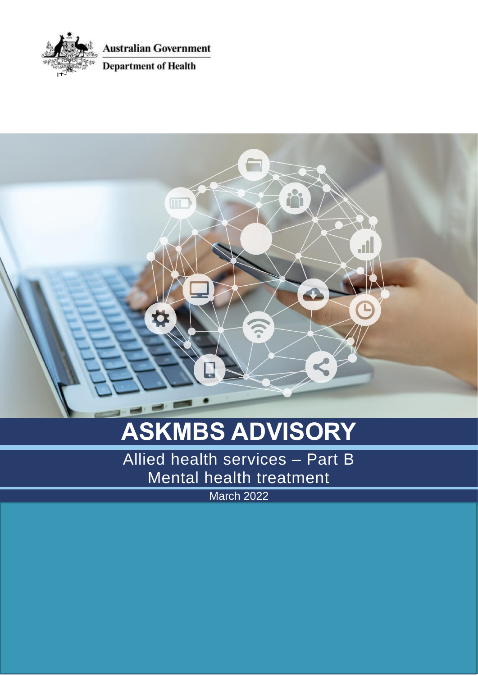

**Australian Government** 

**Department of Health** 



# **ASKMBS ADVISORY**

Allied health services – Part B Mental health treatment

March 2022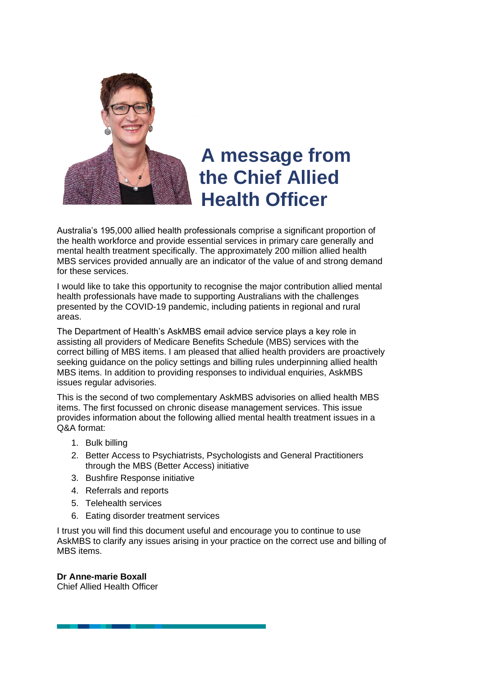

### **A message from the Chief Allied Health Officer**

Australia's 195,000 allied health professionals comprise a significant proportion of the health workforce and provide essential services in primary care generally and mental health treatment specifically. The approximately 200 million allied health MBS services provided annually are an indicator of the value of and strong demand for these services.

I would like to take this opportunity to recognise the major contribution allied mental health professionals have made to supporting Australians with the challenges presented by the COVID-19 pandemic, including patients in regional and rural areas.

The Department of Health's AskMBS email advice service plays a key role in assisting all providers of Medicare Benefits Schedule (MBS) services with the correct billing of MBS items. I am pleased that allied health providers are proactively seeking guidance on the policy settings and billing rules underpinning allied health MBS items. In addition to providing responses to individual enquiries, AskMBS issues regular advisories.

This is the second of two complementary AskMBS advisories on allied health MBS items. The first focussed on chronic disease management services. This issue provides information about the following allied mental health treatment issues in a Q&A format:

- 1. Bulk billing
- 2. Better Access to Psychiatrists, Psychologists and General Practitioners through the MBS (Better Access) initiative
- 3. Bushfire Response initiative
- 4. Referrals and reports
- 5. Telehealth services
- 6. Eating disorder treatment services

I trust you will find this document useful and encourage you to continue to use AskMBS to clarify any issues arising in your practice on the correct use and billing of MBS items.

**Dr Anne-marie Boxall**

Chief Allied Health Officer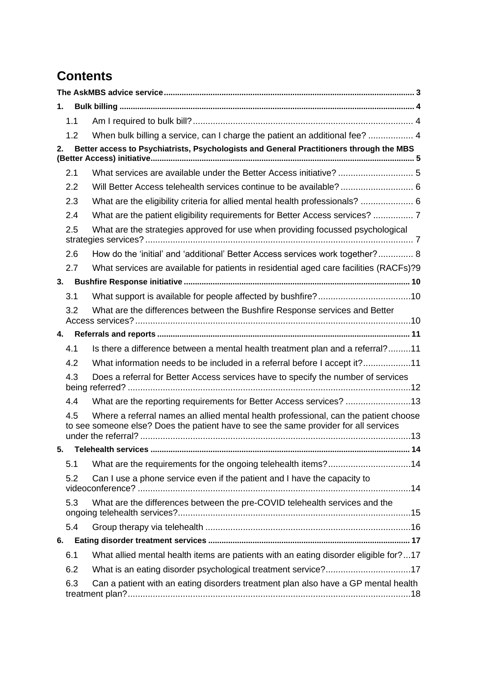### **Contents**

| 1. |     |                                                                                                                                                                             |  |  |  |
|----|-----|-----------------------------------------------------------------------------------------------------------------------------------------------------------------------------|--|--|--|
|    | 1.1 |                                                                                                                                                                             |  |  |  |
|    | 1.2 | When bulk billing a service, can I charge the patient an additional fee?  4                                                                                                 |  |  |  |
| 2. |     | Better access to Psychiatrists, Psychologists and General Practitioners through the MBS                                                                                     |  |  |  |
|    | 2.1 |                                                                                                                                                                             |  |  |  |
|    | 2.2 | Will Better Access telehealth services continue to be available?  6                                                                                                         |  |  |  |
|    | 2.3 | What are the eligibility criteria for allied mental health professionals?  6                                                                                                |  |  |  |
|    | 2.4 | What are the patient eligibility requirements for Better Access services?  7                                                                                                |  |  |  |
|    | 2.5 | What are the strategies approved for use when providing focussed psychological                                                                                              |  |  |  |
|    | 2.6 | How do the 'initial' and 'additional' Better Access services work together? 8                                                                                               |  |  |  |
|    | 2.7 | What services are available for patients in residential aged care facilities (RACFs)?9                                                                                      |  |  |  |
| 3. |     |                                                                                                                                                                             |  |  |  |
|    | 3.1 |                                                                                                                                                                             |  |  |  |
|    | 3.2 | What are the differences between the Bushfire Response services and Better                                                                                                  |  |  |  |
| 4. |     |                                                                                                                                                                             |  |  |  |
|    | 4.1 | Is there a difference between a mental health treatment plan and a referral?11                                                                                              |  |  |  |
|    | 4.2 | What information needs to be included in a referral before I accept it?11                                                                                                   |  |  |  |
|    | 4.3 | Does a referral for Better Access services have to specify the number of services                                                                                           |  |  |  |
|    | 4.4 | What are the reporting requirements for Better Access services? 13                                                                                                          |  |  |  |
|    | 4.5 | Where a referral names an allied mental health professional, can the patient choose<br>to see someone else? Does the patient have to see the same provider for all services |  |  |  |
| 5. |     |                                                                                                                                                                             |  |  |  |
|    | 5.1 | What are the requirements for the ongoing telehealth items?14                                                                                                               |  |  |  |
|    | 5.2 | Can I use a phone service even if the patient and I have the capacity to                                                                                                    |  |  |  |
|    | 5.3 | What are the differences between the pre-COVID telehealth services and the                                                                                                  |  |  |  |
|    | 5.4 |                                                                                                                                                                             |  |  |  |
| 6. |     |                                                                                                                                                                             |  |  |  |
|    | 6.1 | What allied mental health items are patients with an eating disorder eligible for?17                                                                                        |  |  |  |
|    | 6.2 | What is an eating disorder psychological treatment service?17                                                                                                               |  |  |  |
|    | 6.3 | Can a patient with an eating disorders treatment plan also have a GP mental health                                                                                          |  |  |  |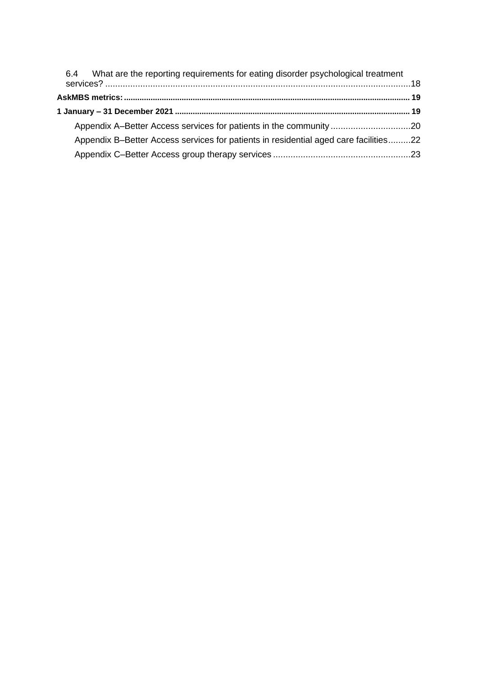| 6.4 What are the reporting requirements for eating disorder psychological treatment  |  |
|--------------------------------------------------------------------------------------|--|
|                                                                                      |  |
|                                                                                      |  |
|                                                                                      |  |
| Appendix B-Better Access services for patients in residential aged care facilities22 |  |
|                                                                                      |  |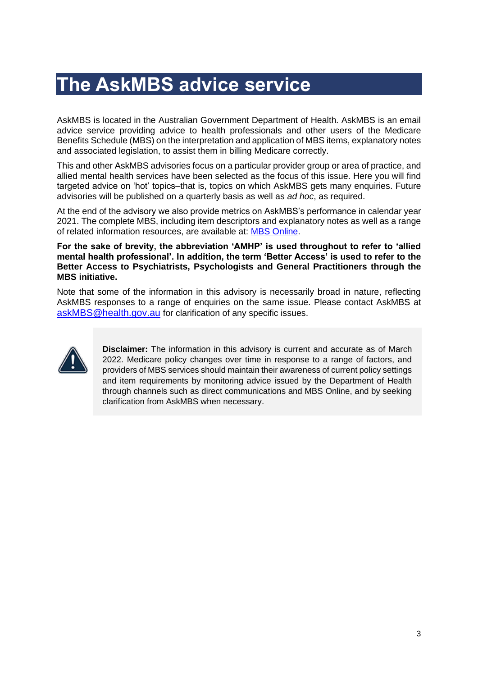## <span id="page-4-0"></span>**The AskMBS advice service**

AskMBS is located in the Australian Government Department of Health. AskMBS is an email advice service providing advice to health professionals and other users of the Medicare Benefits Schedule (MBS) on the interpretation and application of MBS items, explanatory notes and associated legislation, to assist them in billing Medicare correctly.

This and other AskMBS advisories focus on a particular provider group or area of practice, and allied mental health services have been selected as the focus of this issue. Here you will find targeted advice on 'hot' topics–that is, topics on which AskMBS gets many enquiries. Future advisories will be published on a quarterly basis as well as *ad hoc*, as required.

At the end of the advisory we also provide metrics on AskMBS's performance in calendar year 2021. The complete MBS, including item descriptors and explanatory notes as well as a range of related information resources, are available at: [MBS Online.](http://www.mbsonline.gov.au/)

#### **For the sake of brevity, the abbreviation 'AMHP' is used throughout to refer to 'allied mental health professional'. In addition, the term 'Better Access' is used to refer to the Better Access to Psychiatrists, Psychologists and General Practitioners through the MBS initiative.**

Note that some of the information in this advisory is necessarily broad in nature, reflecting AskMBS responses to a range of enquiries on the same issue. Please contact AskMBS at [askMBS@health.gov.au](mailto:askMBS@health.gov.au) for clarification of any specific issues.



**Disclaimer:** The information in this advisory is current and accurate as of March 2022. Medicare policy changes over time in response to a range of factors, and providers of MBS services should maintain their awareness of current policy settings and item requirements by monitoring advice issued by the Department of Health through channels such as direct communications and MBS Online, and by seeking clarification from AskMBS when necessary.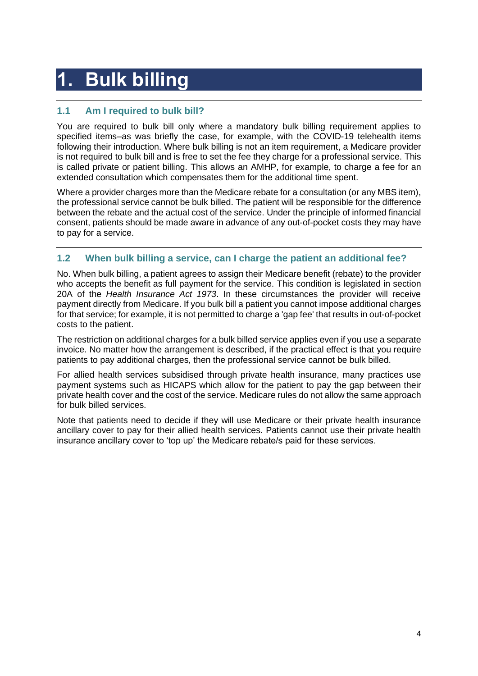# <span id="page-5-0"></span>**1. Bulk billing**

### <span id="page-5-1"></span>**1.1 Am I required to bulk bill?**

You are required to bulk bill only where a mandatory bulk billing requirement applies to specified items–as was briefly the case, for example, with the COVID-19 telehealth items following their introduction. Where bulk billing is not an item requirement, a Medicare provider is not required to bulk bill and is free to set the fee they charge for a professional service. This is called private or patient billing. This allows an AMHP, for example, to charge a fee for an extended consultation which compensates them for the additional time spent.

Where a provider charges more than the Medicare rebate for a consultation (or any MBS item), the professional service cannot be bulk billed. The patient will be responsible for the difference between the rebate and the actual cost of the service. Under the principle of informed financial consent, patients should be made aware in advance of any out-of-pocket costs they may have to pay for a service.

### <span id="page-5-2"></span>**1.2 When bulk billing a service, can I charge the patient an additional fee?**

No. When bulk billing, a patient agrees to assign their Medicare benefit (rebate) to the provider who accepts the benefit as full payment for the service. This condition is legislated in section 20A of the *Health Insurance Act 1973*. In these circumstances the provider will receive payment directly from Medicare. If you bulk bill a patient you cannot impose additional charges for that service; for example, it is not permitted to charge a 'gap fee' that results in out-of-pocket costs to the patient.

The restriction on additional charges for a bulk billed service applies even if you use a separate invoice. No matter how the arrangement is described, if the practical effect is that you require patients to pay additional charges, then the professional service cannot be bulk billed.

For allied health services subsidised through private health insurance, many practices use payment systems such as HICAPS which allow for the patient to pay the gap between their private health cover and the cost of the service. Medicare rules do not allow the same approach for bulk billed services.

Note that patients need to decide if they will use Medicare or their private health insurance ancillary cover to pay for their allied health services. Patients cannot use their private health insurance ancillary cover to 'top up' the Medicare rebate/s paid for these services.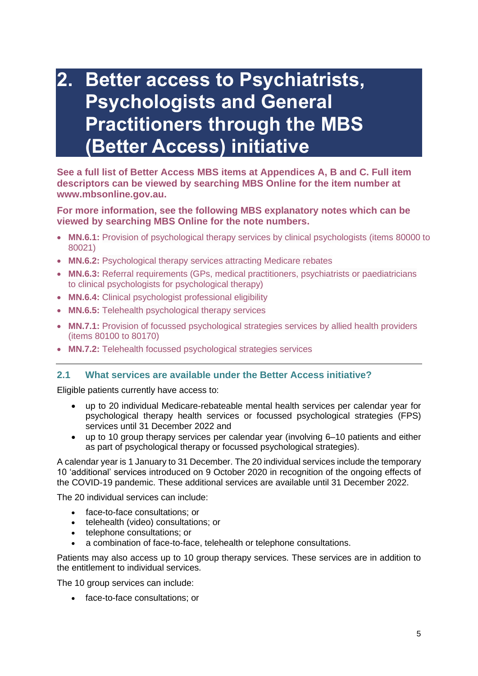### <span id="page-6-0"></span>**2. Better access to Psychiatrists, Psychologists and General Practitioners through the MBS (Better Access) initiative**

**See a full list of Better Access MBS items at Appendices A, B and C. Full item descriptors can be viewed by searching MBS Online for the item number at www.mbsonline.gov.au.**

### **For more information, see the following MBS explanatory notes which can be viewed by searching MBS Online for the note numbers.**

- **MN.6.1:** Provision of psychological therapy services by clinical psychologists (items 80000 to 80021)
- **MN.6.2:** Psychological therapy services attracting Medicare rebates
- **MN.6.3:** Referral requirements (GPs, medical practitioners, psychiatrists or paediatricians to clinical psychologists for psychological therapy)
- **MN.6.4:** Clinical psychologist professional eligibility
- **MN.6.5:** Telehealth psychological therapy services
- **MN.7.1:** Provision of focussed psychological strategies services by allied health providers (items 80100 to 80170)
- **MN.7.2:** Telehealth focussed psychological strategies services

### <span id="page-6-1"></span>**2.1 What services are available under the Better Access initiative?**

Eligible patients currently have access to:

- up to 20 individual Medicare-rebateable mental health services per calendar year for psychological therapy health services or focussed psychological strategies (FPS) services until 31 December 2022 and
- up to 10 group therapy services per calendar year (involving 6–10 patients and either as part of psychological therapy or focussed psychological strategies).

A calendar year is 1 January to 31 December. The 20 individual services include the temporary 10 'additional' services introduced on 9 October 2020 in recognition of the ongoing effects of the COVID-19 pandemic. These additional services are available until 31 December 2022.

The 20 individual services can include:

- face-to-face consultations; or
- telehealth (video) consultations; or
- telephone consultations; or
- a combination of face-to-face, telehealth or telephone consultations.

Patients may also access up to 10 group therapy services. These services are in addition to the entitlement to individual services.

The 10 group services can include:

• face-to-face consultations; or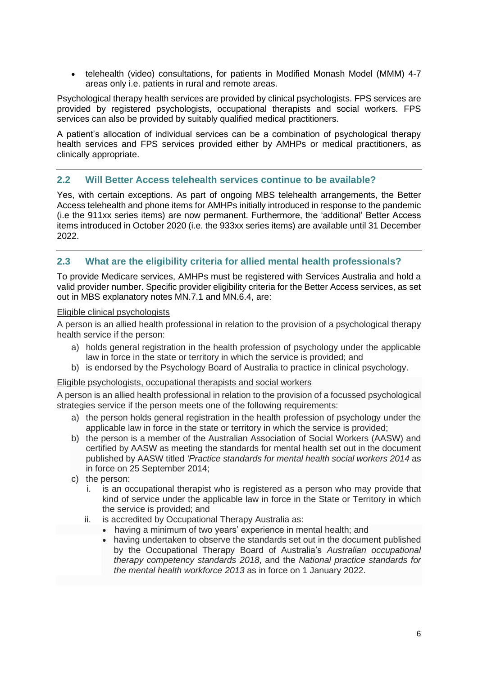• telehealth (video) consultations, for patients in Modified Monash Model (MMM) 4-7 areas only i.e. patients in rural and remote areas.

Psychological therapy health services are provided by clinical psychologists. FPS services are provided by registered psychologists, occupational therapists and social workers. FPS services can also be provided by suitably qualified medical practitioners.

A patient's allocation of individual services can be a combination of psychological therapy health services and FPS services provided either by AMHPs or medical practitioners, as clinically appropriate.

### <span id="page-7-0"></span>**2.2 Will Better Access telehealth services continue to be available?**

Yes, with certain exceptions. As part of ongoing MBS telehealth arrangements, the Better Access telehealth and phone items for AMHPs initially introduced in response to the pandemic (i.e the 911xx series items) are now permanent. Furthermore, the 'additional' Better Access items introduced in October 2020 (i.e. the 933xx series items) are available until 31 December 2022.

### <span id="page-7-1"></span>**2.3 What are the eligibility criteria for allied mental health professionals?**

To provide Medicare services, AMHPs must be registered with Services Australia and hold a valid provider number. Specific provider eligibility criteria for the Better Access services, as set out in MBS explanatory notes MN.7.1 and MN.6.4, are:

#### Eligible clinical psychologists

A person is an allied health professional in relation to the provision of a psychological therapy health service if the person:

- a) holds general registration in the health profession of psychology under the applicable law in force in the state or territory in which the service is provided; and
- b) is endorsed by the Psychology Board of Australia to practice in clinical psychology.

### Eligible psychologists, occupational therapists and social workers

A person is an allied health professional in relation to the provision of a focussed psychological strategies service if the person meets one of the following requirements:

- a) the person holds general registration in the health profession of psychology under the applicable law in force in the state or territory in which the service is provided;
- b) the person is a member of the Australian Association of Social Workers (AASW) and certified by AASW as meeting the standards for mental health set out in the document published by AASW titled *'Practice standards for mental health social workers 2014* as in force on 25 September 2014;
- c) the person:
	- i. is an occupational therapist who is registered as a person who may provide that kind of service under the applicable law in force in the State or Territory in which the service is provided; and
	- ii. is accredited by Occupational Therapy Australia as:
		- having a minimum of two years' experience in mental health; and
			- having undertaken to observe the standards set out in the document published by the Occupational Therapy Board of Australia's *Australian occupational therapy competency standards 2018*, and the *National practice standards for the mental health workforce 2013* as in force on 1 January 2022.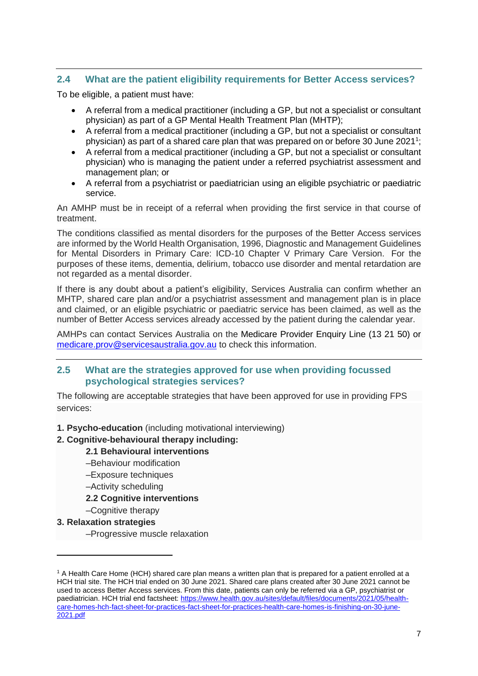### <span id="page-8-0"></span>**2.4 What are the patient eligibility requirements for Better Access services?**

To be eligible, a patient must have:

- A referral from a medical practitioner (including a GP, but not a specialist or consultant physician) as part of a GP Mental Health Treatment Plan (MHTP);
- A referral from a medical practitioner (including a GP, but not a specialist or consultant physician) as part of a shared care plan that was prepared on or before 30 June 2021<sup>1</sup>;
- A referral from a medical practitioner (including a GP, but not a specialist or consultant physician) who is managing the patient under a referred psychiatrist assessment and management plan; or
- A referral from a psychiatrist or paediatrician using an eligible psychiatric or paediatric service.

An AMHP must be in receipt of a referral when providing the first service in that course of treatment.

The conditions classified as mental disorders for the purposes of the Better Access services are informed by the World Health Organisation, 1996, Diagnostic and Management Guidelines for Mental Disorders in Primary Care: ICD-10 Chapter V Primary Care Version. For the purposes of these items, dementia, delirium, tobacco use disorder and mental retardation are not regarded as a mental disorder.

If there is any doubt about a patient's eligibility, Services Australia can confirm whether an MHTP, shared care plan and/or a psychiatrist assessment and management plan is in place and claimed, or an eligible psychiatric or paediatric service has been claimed, as well as the number of Better Access services already accessed by the patient during the calendar year.

AMHPs can contact Services Australia on the Medicare Provider Enquiry Line (13 21 50) or [medicare.prov@servicesaustralia.gov.au](mailto:medicare.prov@servicesaustralia.gov.au) to check this information.

### <span id="page-8-1"></span>**2.5 What are the strategies approved for use when providing focussed psychological strategies services?**

The following are acceptable strategies that have been approved for use in providing FPS services:

**1. Psycho-education** (including motivational interviewing)

### **2. Cognitive-behavioural therapy including:**

### **2.1 Behavioural interventions**

- –Behaviour modification
- –Exposure techniques
- –Activity scheduling
- **2.2 Cognitive interventions**
- –Cognitive therapy

### **3. Relaxation strategies**

–Progressive muscle relaxation

<sup>1</sup> A Health Care Home (HCH) shared care plan means a written plan that is prepared for a patient enrolled at a HCH trial site. The HCH trial ended on 30 June 2021. Shared care plans created after 30 June 2021 cannot be used to access Better Access services. From this date, patients can only be referred via a GP, psychiatrist or paediatrician. HCH trial end factsheet: [https://www.health.gov.au/sites/default/files/documents/2021/05/health](https://www.health.gov.au/sites/default/files/documents/2021/05/health-care-homes-hch-fact-sheet-for-practices-fact-sheet-for-practices-health-care-homes-is-finishing-on-30-june-2021.pdf)[care-homes-hch-fact-sheet-for-practices-fact-sheet-for-practices-health-care-homes-is-finishing-on-30-june-](https://www.health.gov.au/sites/default/files/documents/2021/05/health-care-homes-hch-fact-sheet-for-practices-fact-sheet-for-practices-health-care-homes-is-finishing-on-30-june-2021.pdf)[2021.pdf](https://www.health.gov.au/sites/default/files/documents/2021/05/health-care-homes-hch-fact-sheet-for-practices-fact-sheet-for-practices-health-care-homes-is-finishing-on-30-june-2021.pdf)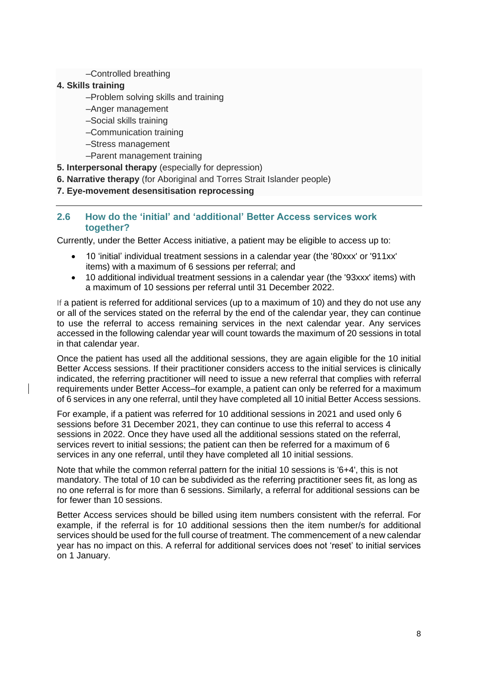### –Controlled breathing

### **4. Skills training**

- –Problem solving skills and training
- –Anger management
- –Social skills training
- –Communication training
- –Stress management
- –Parent management training

**5. Interpersonal therapy** (especially for depression)

**6. Narrative therapy** (for Aboriginal and Torres Strait Islander people)

### <span id="page-9-0"></span>**7. Eye-movement desensitisation reprocessing**

### **2.6 How do the 'initial' and 'additional' Better Access services work together?**

Currently, under the Better Access initiative, a patient may be eligible to access up to:

- 10 'initial' individual treatment sessions in a calendar year (the '80xxx' or '911xx' items) with a maximum of 6 sessions per referral; and
- 10 additional individual treatment sessions in a calendar year (the '93xxx' items) with a maximum of 10 sessions per referral until 31 December 2022.

If a patient is referred for additional services (up to a maximum of 10) and they do not use any or all of the services stated on the referral by the end of the calendar year, they can continue to use the referral to access remaining services in the next calendar year. Any services accessed in the following calendar year will count towards the maximum of 20 sessions in total in that calendar year.

Once the patient has used all the additional sessions, they are again eligible for the 10 initial Better Access sessions. If their practitioner considers access to the initial services is clinically indicated, the referring practitioner will need to issue a new referral that complies with referral requirements under Better Access–for example, a patient can only be referred for a maximum of 6 services in any one referral, until they have completed all 10 initial Better Access sessions.

For example, if a patient was referred for 10 additional sessions in 2021 and used only 6 sessions before 31 December 2021, they can continue to use this referral to access 4 sessions in 2022. Once they have used all the additional sessions stated on the referral, services revert to initial sessions; the patient can then be referred for a maximum of 6 services in any one referral, until they have completed all 10 initial sessions.

Note that while the common referral pattern for the initial 10 sessions is '6+4', this is not mandatory. The total of 10 can be subdivided as the referring practitioner sees fit, as long as no one referral is for more than 6 sessions. Similarly, a referral for additional sessions can be for fewer than 10 sessions.

Better Access services should be billed using item numbers consistent with the referral. For example, if the referral is for 10 additional sessions then the item number/s for additional services should be used for the full course of treatment. The commencement of a new calendar year has no impact on this. A referral for additional services does not 'reset' to initial services on 1 January.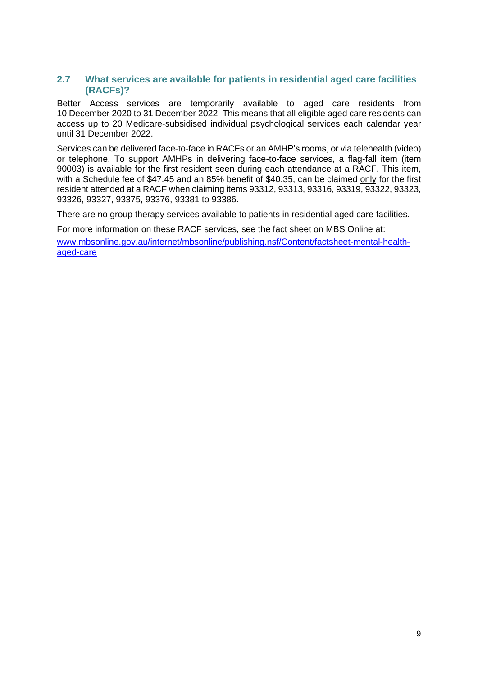### <span id="page-10-0"></span>**2.7 What services are available for patients in residential aged care facilities (RACFs)?**

Better Access services are temporarily available to aged care residents from 10 December 2020 to 31 December 2022. This means that all eligible aged care residents can access up to 20 Medicare-subsidised individual psychological services each calendar year until 31 December 2022.

Services can be delivered face-to-face in RACFs or an AMHP's rooms, or via telehealth (video) or telephone. To support AMHPs in delivering face-to-face services, a flag-fall item (item 90003) is available for the first resident seen during each attendance at a RACF. This item, with a Schedule fee of \$47.45 and an 85% benefit of \$40.35, can be claimed only for the first resident attended at a RACF when claiming items 93312, 93313, 93316, 93319, 93322, 93323, 93326, 93327, 93375, 93376, 93381 to 93386.

There are no group therapy services available to patients in residential aged care facilities.

For more information on these RACF services, see the fact sheet on MBS Online at: [www.mbsonline.gov.au/internet/mbsonline/publishing.nsf/Content/factsheet-mental-health](http://www.mbsonline.gov.au/internet/mbsonline/publishing.nsf/Content/factsheet-mental-health-aged-care)[aged-care](http://www.mbsonline.gov.au/internet/mbsonline/publishing.nsf/Content/factsheet-mental-health-aged-care)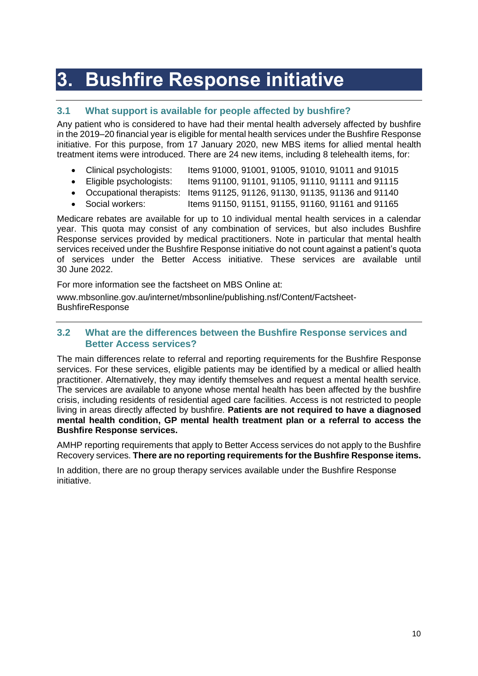# <span id="page-11-0"></span>**3. Bushfire Response initiative**

### <span id="page-11-1"></span>**3.1 What support is available for people affected by bushfire?**

Any patient who is considered to have had their mental health adversely affected by bushfire in the 2019–20 financial year is eligible for mental health services under the Bushfire Response initiative. For this purpose, from 17 January 2020, new MBS items for allied mental health treatment items were introduced. There are 24 new items, including 8 telehealth items, for:

- Clinical psychologists: Items 91000, 91001, 91005, 91010, 91011 and 91015
- Eligible psychologists: Items 91100, 91101, 91105, 91110, 91111 and 91115
- Occupational therapists: Items 91125, 91126, 91130, 91135, 91136 and 91140
- Social workers: Items 91150, 91151, 91155, 91160, 91161 and 91165

Medicare rebates are available for up to 10 individual mental health services in a calendar year. This quota may consist of any combination of services, but also includes Bushfire Response services provided by medical practitioners. Note in particular that mental health services received under the Bushfire Response initiative do not count against a patient's quota of services under the Better Access initiative. These services are available until 30 June 2022.

For more information see the factsheet on MBS Online at:

[www.mbsonline.gov.au/internet/mbsonline/publishing.nsf/Content/Factsheet-](http://www.mbsonline.gov.au/internet/mbsonline/publishing.nsf/Content/Factsheet-BushfireResponse)**[BushfireResponse](http://www.mbsonline.gov.au/internet/mbsonline/publishing.nsf/Content/Factsheet-BushfireResponse)** 

### <span id="page-11-2"></span>**3.2 What are the differences between the Bushfire Response services and Better Access services?**

The main differences relate to referral and reporting requirements for the Bushfire Response services. For these services, eligible patients may be identified by a medical or allied health practitioner. Alternatively, they may identify themselves and request a mental health service. The services are available to anyone whose mental health has been affected by the bushfire crisis, including residents of residential aged care facilities. Access is not restricted to people living in areas directly affected by bushfire. **Patients are not required to have a diagnosed mental health condition, GP mental health treatment plan or a referral to access the Bushfire Response services.**

AMHP reporting requirements that apply to Better Access services do not apply to the Bushfire Recovery services. **There are no reporting requirements for the Bushfire Response items.**

In addition, there are no group therapy services available under the Bushfire Response initiative.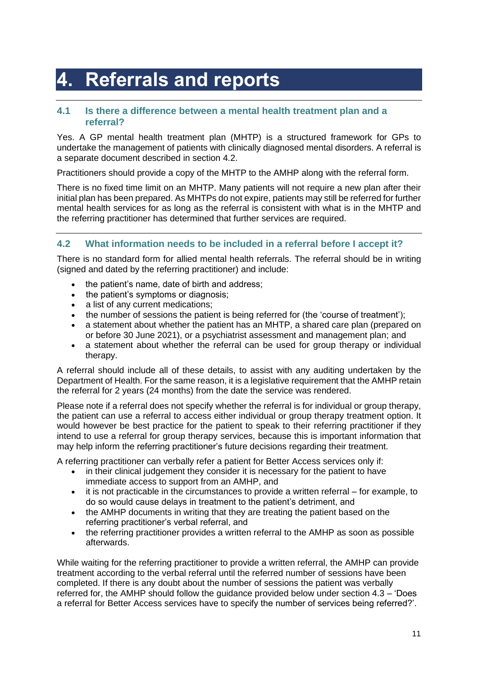# <span id="page-12-0"></span>**4. Referrals and reports**

### <span id="page-12-1"></span>**4.1 Is there a difference between a mental health treatment plan and a referral?**

Yes. A GP mental health treatment plan (MHTP) is a structured framework for GPs to undertake the management of patients with clinically diagnosed mental disorders. A referral is a separate document described in section 4.2.

Practitioners should provide a copy of the MHTP to the AMHP along with the referral form.

There is no fixed time limit on an MHTP. Many patients will not require a new plan after their initial plan has been prepared. As MHTPs do not expire, patients may still be referred for further mental health services for as long as the referral is consistent with what is in the MHTP and the referring practitioner has determined that further services are required.

### <span id="page-12-2"></span>**4.2 What information needs to be included in a referral before I accept it?**

There is no standard form for allied mental health referrals. The referral should be in writing (signed and dated by the referring practitioner) and include:

- the patient's name, date of birth and address:
- the patient's symptoms or diagnosis:
- a list of any current medications:
- the number of sessions the patient is being referred for (the 'course of treatment');
- a statement about whether the patient has an MHTP, a shared care plan (prepared on or before 30 June 2021), or a psychiatrist assessment and management plan; and
- a statement about whether the referral can be used for group therapy or individual therapy.

A referral should include all of these details, to assist with any auditing undertaken by the Department of Health. For the same reason, it is a legislative requirement that the AMHP retain the referral for 2 years (24 months) from the date the service was rendered.

Please note if a referral does not specify whether the referral is for individual or group therapy, the patient can use a referral to access either individual or group therapy treatment option. It would however be best practice for the patient to speak to their referring practitioner if they intend to use a referral for group therapy services, because this is important information that may help inform the referring practitioner's future decisions regarding their treatment.

A referring practitioner can verbally refer a patient for Better Access services only if:

- in their clinical judgement they consider it is necessary for the patient to have immediate access to support from an AMHP, and
- it is not practicable in the circumstances to provide a written referral for example, to do so would cause delays in treatment to the patient's detriment, and
- the AMHP documents in writing that they are treating the patient based on the referring practitioner's verbal referral, and
- the referring practitioner provides a written referral to the AMHP as soon as possible afterwards.

While waiting for the referring practitioner to provide a written referral, the AMHP can provide treatment according to the verbal referral until the referred number of sessions have been completed. If there is any doubt about the number of sessions the patient was verbally referred for, the AMHP should follow the guidance provided below under section 4.3 – 'Does a referral for Better Access services have to specify the number of services being referred?'.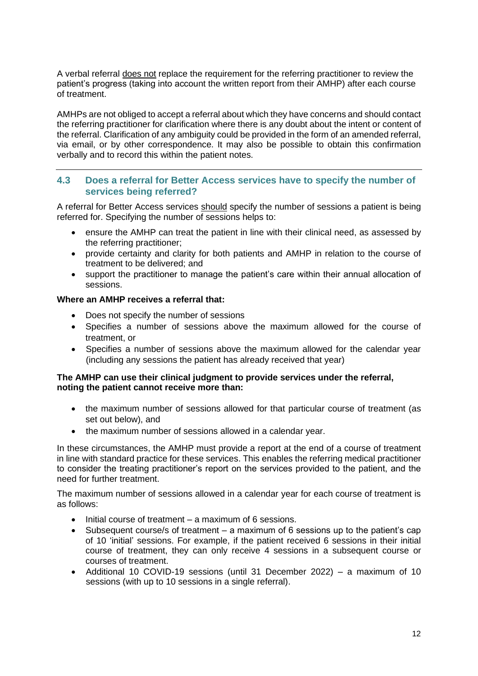A verbal referral does not replace the requirement for the referring practitioner to review the patient's progress (taking into account the written report from their AMHP) after each course of treatment.

AMHPs are not obliged to accept a referral about which they have concerns and should contact the referring practitioner for clarification where there is any doubt about the intent or content of the referral. Clarification of any ambiguity could be provided in the form of an amended referral, via email, or by other correspondence. It may also be possible to obtain this confirmation verbally and to record this within the patient notes.

### <span id="page-13-0"></span>**4.3 Does a referral for Better Access services have to specify the number of services being referred?**

A referral for Better Access services should specify the number of sessions a patient is being referred for. Specifying the number of sessions helps to:

- ensure the AMHP can treat the patient in line with their clinical need, as assessed by the referring practitioner;
- provide certainty and clarity for both patients and AMHP in relation to the course of treatment to be delivered; and
- support the practitioner to manage the patient's care within their annual allocation of sessions.

### **Where an AMHP receives a referral that:**

- Does not specify the number of sessions
- Specifies a number of sessions above the maximum allowed for the course of treatment, or
- Specifies a number of sessions above the maximum allowed for the calendar year (including any sessions the patient has already received that year)

### **The AMHP can use their clinical judgment to provide services under the referral, noting the patient cannot receive more than:**

- the maximum number of sessions allowed for that particular course of treatment (as set out below), and
- the maximum number of sessions allowed in a calendar year.

In these circumstances, the AMHP must provide a report at the end of a course of treatment in line with standard practice for these services. This enables the referring medical practitioner to consider the treating practitioner's report on the services provided to the patient, and the need for further treatment.

The maximum number of sessions allowed in a calendar year for each course of treatment is as follows:

- Initial course of treatment a maximum of 6 sessions.
- Subsequent course/s of treatment a maximum of  $6$  sessions up to the patient's cap of 10 'initial' sessions. For example, if the patient received 6 sessions in their initial course of treatment, they can only receive 4 sessions in a subsequent course or courses of treatment.
- Additional 10 COVID-19 sessions (until 31 December 2022) a maximum of 10 sessions (with up to 10 sessions in a single referral).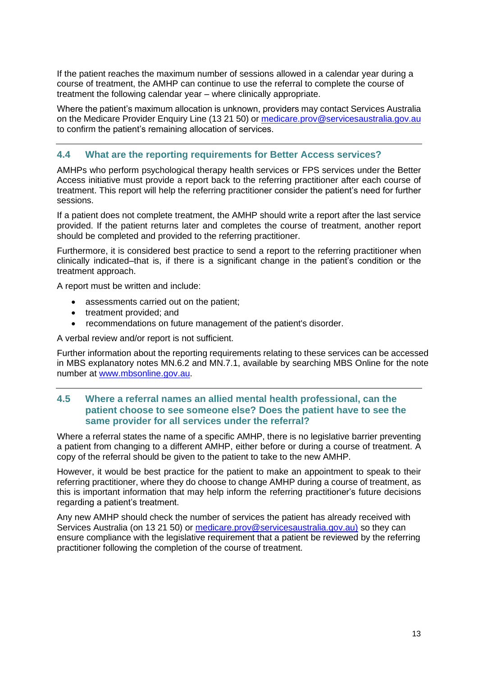If the patient reaches the maximum number of sessions allowed in a calendar year during a course of treatment, the AMHP can continue to use the referral to complete the course of treatment the following calendar year – where clinically appropriate.

Where the patient's maximum allocation is unknown, providers may contact Services Australia on the Medicare Provider Enquiry Line (13 21 50) or [medicare.prov@servicesaustralia.gov.au](mailto:medicare.prov@servicesaustralia.gov.au) to confirm the patient's remaining allocation of services.

### <span id="page-14-0"></span>**4.4 What are the reporting requirements for Better Access services?**

AMHPs who perform psychological therapy health services or FPS services under the Better Access initiative must provide a report back to the referring practitioner after each course of treatment. This report will help the referring practitioner consider the patient's need for further sessions.

If a patient does not complete treatment, the AMHP should write a report after the last service provided. If the patient returns later and completes the course of treatment, another report should be completed and provided to the referring practitioner.

Furthermore, it is considered best practice to send a report to the referring practitioner when clinically indicated–that is, if there is a significant change in the patient's condition or the treatment approach.

A report must be written and include:

- assessments carried out on the patient;
- treatment provided; and
- recommendations on future management of the patient's disorder.

A verbal review and/or report is not sufficient.

Further information about the reporting requirements relating to these services can be accessed in MBS explanatory notes MN.6.2 and MN.7.1, available by searching MBS Online for the note number at [www.mbsonline.gov.au.](http://www.mbsonline.gov.au/)

### <span id="page-14-1"></span>**4.5 Where a referral names an allied mental health professional, can the patient choose to see someone else? Does the patient have to see the same provider for all services under the referral?**

Where a referral states the name of a specific AMHP, there is no legislative barrier preventing a patient from changing to a different AMHP, either before or during a course of treatment. A copy of the referral should be given to the patient to take to the new AMHP.

However, it would be best practice for the patient to make an appointment to speak to their referring practitioner, where they do choose to change AMHP during a course of treatment, as this is important information that may help inform the referring practitioner's future decisions regarding a patient's treatment.

Any new AMHP should check the number of services the patient has already received with Services Australia (on 13 21 50) or [medicare.prov@servicesaustralia.gov.au\)](mailto:medicare.prov@servicesaustralia.gov.au) so they can ensure compliance with the legislative requirement that a patient be reviewed by the referring practitioner following the completion of the course of treatment.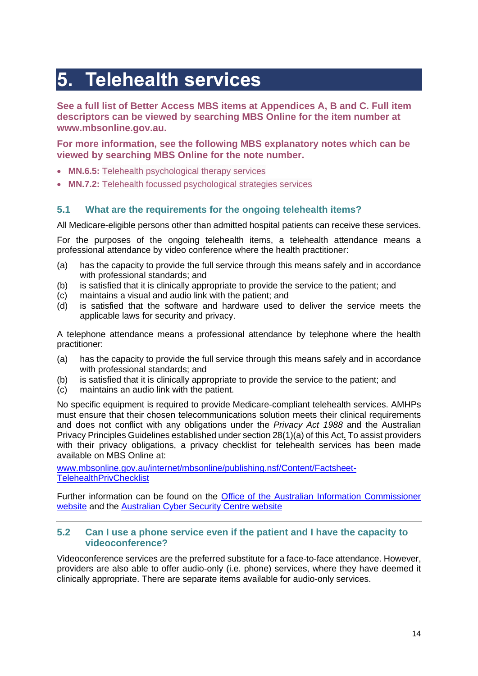## <span id="page-15-0"></span>**5. Telehealth services**

**See a full list of Better Access MBS items at Appendices A, B and C. Full item descriptors can be viewed by searching MBS Online for the item number at www.mbsonline.gov.au.**

**For more information, see the following MBS explanatory notes which can be viewed by searching MBS Online for the note number.**

- **MN.6.5:** Telehealth psychological therapy services
- **MN.7.2:** Telehealth focussed psychological strategies services

### <span id="page-15-1"></span>**5.1 What are the requirements for the ongoing telehealth items?**

All Medicare-eligible persons other than admitted hospital patients can receive these services.

For the purposes of the ongoing telehealth items, a telehealth attendance means a professional attendance by video conference where the health practitioner:

- (a) has the capacity to provide the full service through this means safely and in accordance with professional standards; and
- (b) is satisfied that it is clinically appropriate to provide the service to the patient; and
- (c) maintains a visual and audio link with the patient; and
- (d) is satisfied that the software and hardware used to deliver the service meets the applicable laws for security and privacy.

A telephone attendance means a professional attendance by telephone where the health practitioner:

- (a) has the capacity to provide the full service through this means safely and in accordance with professional standards; and
- (b) is satisfied that it is clinically appropriate to provide the service to the patient; and
- (c) maintains an audio link with the patient.

No specific equipment is required to provide Medicare-compliant telehealth services. AMHPs must ensure that their chosen telecommunications solution meets their clinical requirements and does not conflict with any obligations under the *Privacy Act 1988* and the Australian Privacy Principles Guidelines established under section 28(1)(a) of this Act. To assist providers with their privacy obligations, a privacy checklist for telehealth services has been made available on MBS Online at:

[www.mbsonline.gov.au/internet/mbsonline/publishing.nsf/Content/Factsheet-](http://www.mbsonline.gov.au/internet/mbsonline/publishing.nsf/Content/Factsheet-TelehealthPrivChecklist)**[TelehealthPrivChecklist](http://www.mbsonline.gov.au/internet/mbsonline/publishing.nsf/Content/Factsheet-TelehealthPrivChecklist)** 

Further information can be found on the [Office of the Australian Information Commissioner](https://www.oaic.gov.au/)  [website](https://www.oaic.gov.au/) and the [Australian Cyber Security Centre website](https://www.cyber.gov.au/)

### <span id="page-15-2"></span>**5.2 Can I use a phone service even if the patient and I have the capacity to videoconference?**

Videoconference services are the preferred substitute for a face-to-face attendance. However, providers are also able to offer audio-only (i.e. phone) services, where they have deemed it clinically appropriate. There are separate items available for audio-only services.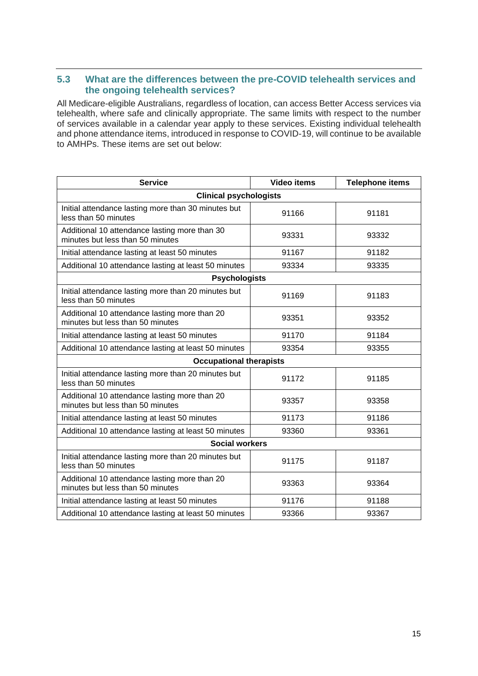### <span id="page-16-0"></span>**5.3 What are the differences between the pre-COVID telehealth services and the ongoing telehealth services?**

All Medicare-eligible Australians, regardless of location, can access Better Access services via telehealth, where safe and clinically appropriate. The same limits with respect to the number of services available in a calendar year apply to these services. Existing individual telehealth and phone attendance items, introduced in response to COVID-19, will continue to be available to AMHPs. These items are set out below:

| <b>Service</b>                                                                    | <b>Video items</b> | <b>Telephone items</b> |  |  |
|-----------------------------------------------------------------------------------|--------------------|------------------------|--|--|
| <b>Clinical psychologists</b>                                                     |                    |                        |  |  |
| Initial attendance lasting more than 30 minutes but<br>less than 50 minutes       | 91166              | 91181                  |  |  |
| Additional 10 attendance lasting more than 30<br>minutes but less than 50 minutes | 93331              | 93332                  |  |  |
| Initial attendance lasting at least 50 minutes                                    | 91167              | 91182                  |  |  |
| Additional 10 attendance lasting at least 50 minutes                              | 93334              | 93335                  |  |  |
| <b>Psychologists</b>                                                              |                    |                        |  |  |
| Initial attendance lasting more than 20 minutes but<br>less than 50 minutes       | 91169              | 91183                  |  |  |
| Additional 10 attendance lasting more than 20<br>minutes but less than 50 minutes | 93351              | 93352                  |  |  |
| Initial attendance lasting at least 50 minutes                                    | 91170              | 91184                  |  |  |
| Additional 10 attendance lasting at least 50 minutes                              | 93354              | 93355                  |  |  |
| <b>Occupational therapists</b>                                                    |                    |                        |  |  |
| Initial attendance lasting more than 20 minutes but<br>less than 50 minutes       | 91172              | 91185                  |  |  |
| Additional 10 attendance lasting more than 20<br>minutes but less than 50 minutes | 93357              | 93358                  |  |  |
| Initial attendance lasting at least 50 minutes                                    | 91173              | 91186                  |  |  |
| Additional 10 attendance lasting at least 50 minutes                              | 93360              | 93361                  |  |  |
| <b>Social workers</b>                                                             |                    |                        |  |  |
| Initial attendance lasting more than 20 minutes but<br>less than 50 minutes       | 91175              | 91187                  |  |  |
| Additional 10 attendance lasting more than 20<br>minutes but less than 50 minutes | 93363              | 93364                  |  |  |
| Initial attendance lasting at least 50 minutes                                    | 91176              | 91188                  |  |  |
| Additional 10 attendance lasting at least 50 minutes                              | 93366              | 93367                  |  |  |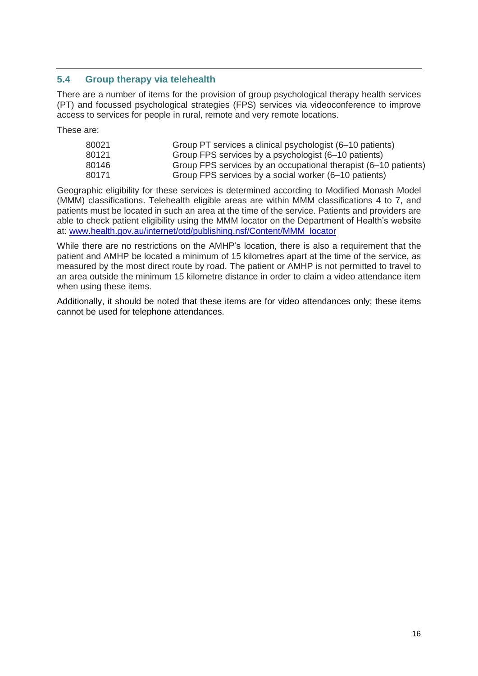### <span id="page-17-0"></span>**5.4 Group therapy via telehealth**

There are a number of items for the provision of group psychological therapy health services (PT) and focussed psychological strategies (FPS) services via videoconference to improve access to services for people in rural, remote and very remote locations.

These are:

| 80021 | Group PT services a clinical psychologist (6–10 patients)       |
|-------|-----------------------------------------------------------------|
| 80121 | Group FPS services by a psychologist (6–10 patients)            |
| 80146 | Group FPS services by an occupational therapist (6–10 patients) |
| 80171 | Group FPS services by a social worker (6–10 patients)           |

Geographic eligibility for these services is determined according to Modified Monash Model (MMM) classifications. Telehealth eligible areas are within MMM classifications 4 to 7, and patients must be located in such an area at the time of the service. Patients and providers are able to check patient eligibility using the MMM locator on the Department of Health's website at: [www.health.gov.au/internet/otd/publishing.nsf/Content/MMM\\_locator](http://www.health.gov.au/internet/otd/publishing.nsf/Content/MMM_locator)

While there are no restrictions on the AMHP's location, there is also a requirement that the patient and AMHP be located a minimum of 15 kilometres apart at the time of the service, as measured by the most direct route by road. The patient or AMHP is not permitted to travel to an area outside the minimum 15 kilometre distance in order to claim a video attendance item when using these items.

Additionally, it should be noted that these items are for video attendances only; these items cannot be used for telephone attendances.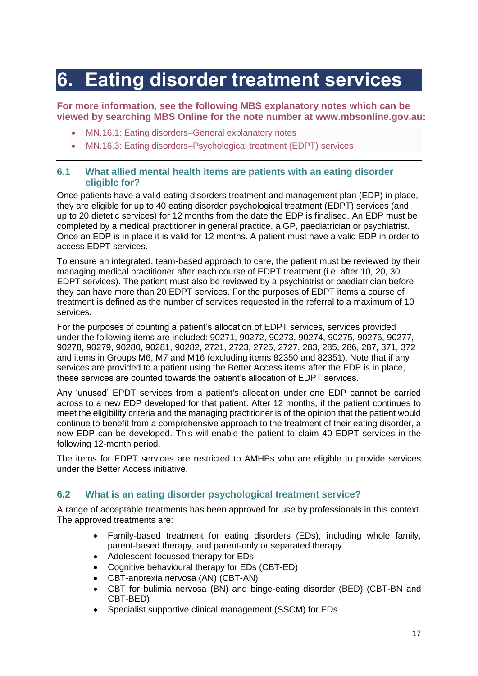### <span id="page-18-0"></span>**6. Eating disorder treatment services**

**For more information, see the following MBS explanatory notes which can be viewed by searching MBS Online for the note number at [www.mbsonline.gov.au:](http://www.mbsonline.gov.au/)**

- [MN.16.1:](http://www9.health.gov.au/mbs/fullDisplay.cfm?type=note&q=MN.16.1&qt=noteID&criteria=eating%20disorder) Eating disorders–General explanatory notes
- [MN.16.3:](http://www9.health.gov.au/mbs/fullDisplay.cfm?type=note&q=MN.16.3&qt=noteID&criteria=eating%20disorder) Eating disorders–Psychological treatment (EDPT) services

### <span id="page-18-1"></span>**6.1 What allied mental health items are patients with an eating disorder eligible for?**

Once patients have a valid eating disorders treatment and management plan (EDP) in place, they are eligible for up to 40 eating disorder psychological treatment (EDPT) services (and up to 20 dietetic services) for 12 months from the date the EDP is finalised. An EDP must be completed by a medical practitioner in general practice, a GP, paediatrician or psychiatrist. Once an EDP is in place it is valid for 12 months. A patient must have a valid EDP in order to access EDPT services.

To ensure an integrated, team-based approach to care, the patient must be reviewed by their managing medical practitioner after each course of EDPT treatment (i.e. after 10, 20, 30 EDPT services). The patient must also be reviewed by a psychiatrist or paediatrician before they can have more than 20 EDPT services. For the purposes of EDPT items a course of treatment is defined as the number of services requested in the referral to a maximum of 10 services.

For the purposes of counting a patient's allocation of EDPT services, services provided under the following items are included: 90271, 90272, 90273, 90274, 90275, 90276, 90277, 90278, 90279, 90280, 90281, 90282, 2721, 2723, 2725, 2727, 283, 285, 286, 287, 371, 372 and items in Groups M6, M7 and M16 (excluding items 82350 and 82351). Note that if any services are provided to a patient using the Better Access items after the EDP is in place, these services are counted towards the patient's allocation of EDPT services.

Any 'unused' EPDT services from a patient's allocation under one EDP cannot be carried across to a new EDP developed for that patient. After 12 months, if the patient continues to meet the eligibility criteria and the managing practitioner is of the opinion that the patient would continue to benefit from a comprehensive approach to the treatment of their eating disorder, a new EDP can be developed. This will enable the patient to claim 40 EDPT services in the following 12-month period.

The items for EDPT services are restricted to AMHPs who are eligible to provide services under the Better Access initiative.

### <span id="page-18-2"></span>**6.2 What is an eating disorder psychological treatment service?**

A range of acceptable treatments has been approved for use by professionals in this context. The approved treatments are:

- Family-based treatment for eating disorders (EDs), including whole family, parent-based therapy, and parent-only or separated therapy
- Adolescent-focussed therapy for EDs
- Cognitive behavioural therapy for EDs (CBT-ED)
- CBT-anorexia nervosa (AN) (CBT-AN)
- CBT for bulimia nervosa (BN) and binge-eating disorder (BED) (CBT-BN and CBT-BED)
- Specialist supportive clinical management (SSCM) for EDs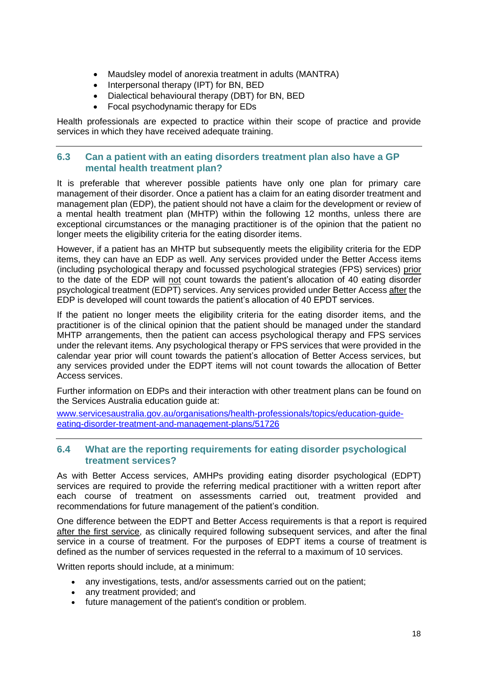- Maudsley model of anorexia treatment in adults (MANTRA)
- Interpersonal therapy (IPT) for BN, BED
- Dialectical behavioural therapy (DBT) for BN, BED
- Focal psychodynamic therapy for EDs

Health professionals are expected to practice within their scope of practice and provide services in which they have received adequate training.

### <span id="page-19-0"></span>**6.3 Can a patient with an eating disorders treatment plan also have a GP mental health treatment plan?**

It is preferable that wherever possible patients have only one plan for primary care management of their disorder. Once a patient has a claim for an eating disorder treatment and management plan (EDP), the patient should not have a claim for the development or review of a mental health treatment plan (MHTP) within the following 12 months, unless there are exceptional circumstances or the managing practitioner is of the opinion that the patient no longer meets the eligibility criteria for the eating disorder items.

However, if a patient has an MHTP but subsequently meets the eligibility criteria for the EDP items, they can have an EDP as well. Any services provided under the Better Access items (including psychological therapy and focussed psychological strategies (FPS) services) prior to the date of the EDP will not count towards the patient's allocation of 40 eating disorder psychological treatment (EDPT) services. Any services provided under Better Access after the EDP is developed will count towards the patient's allocation of 40 EPDT services.

If the patient no longer meets the eligibility criteria for the eating disorder items, and the practitioner is of the clinical opinion that the patient should be managed under the standard MHTP arrangements, then the patient can access psychological therapy and FPS services under the relevant items. Any psychological therapy or FPS services that were provided in the calendar year prior will count towards the patient's allocation of Better Access services, but any services provided under the EDPT items will not count towards the allocation of Better Access services.

Further information on EDPs and their interaction with other treatment plans can be found on the Services Australia education guide at:

[www.servicesaustralia.gov.au/organisations/health-professionals/topics/education-guide](http://www.servicesaustralia.gov.au/organisations/health-professionals/topics/education-guide-eating-disorder-treatment-and-management-plans/51726)[eating-disorder-treatment-and-management-plans/51726](http://www.servicesaustralia.gov.au/organisations/health-professionals/topics/education-guide-eating-disorder-treatment-and-management-plans/51726)

### <span id="page-19-1"></span>**6.4 What are the reporting requirements for eating disorder psychological treatment services?**

As with Better Access services, AMHPs providing eating disorder psychological (EDPT) services are required to provide the referring medical practitioner with a written report after each course of treatment on assessments carried out, treatment provided and recommendations for future management of the patient's condition.

One difference between the EDPT and Better Access requirements is that a report is required after the first service, as clinically required following subsequent services, and after the final service in a course of treatment. For the purposes of EDPT items a course of treatment is defined as the number of services requested in the referral to a maximum of 10 services.

Written reports should include, at a minimum:

- any investigations, tests, and/or assessments carried out on the patient;
- any treatment provided; and
- future management of the patient's condition or problem.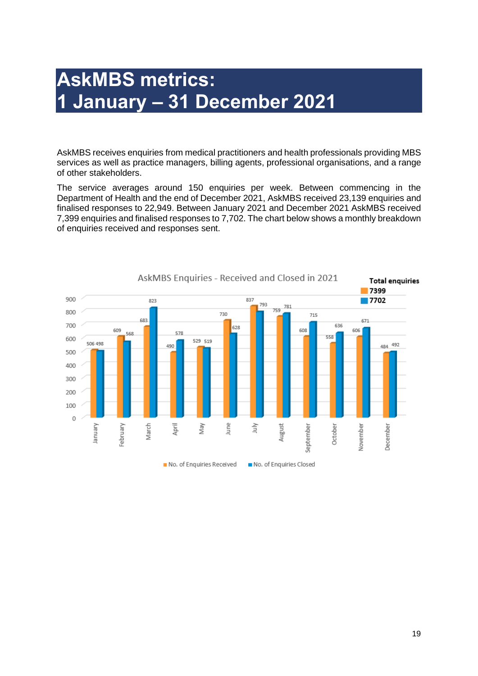### <span id="page-20-1"></span><span id="page-20-0"></span>**AskMBS metrics: 1 January – 31 December 2021**

AskMBS receives enquiries from medical practitioners and health professionals providing MBS services as well as practice managers, billing agents, professional organisations, and a range of other stakeholders.

The service averages around 150 enquiries per week. Between commencing in the Department of Health and the end of December 2021, AskMBS received 23,139 enquiries and finalised responses to 22,949. Between January 2021 and December 2021 AskMBS received 7,399 enquiries and finalised responses to 7,702. The chart below shows a monthly breakdown of enquiries received and responses sent.

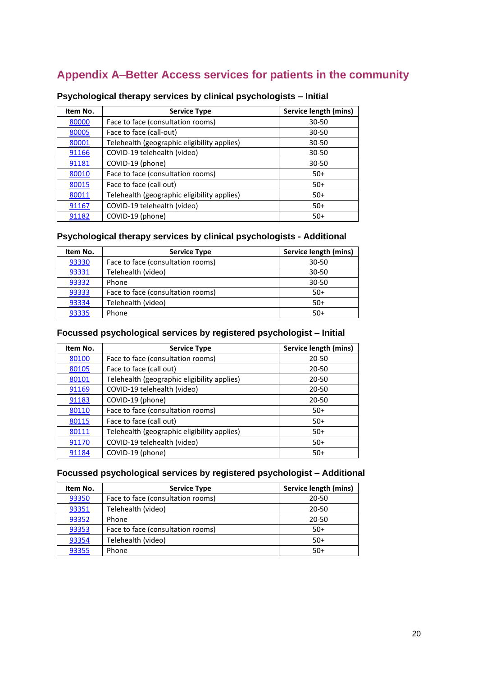### <span id="page-21-0"></span>**Appendix A–Better Access services for patients in the community**

| Item No. | <b>Service Type</b>                         | Service length (mins) |
|----------|---------------------------------------------|-----------------------|
| 80000    | Face to face (consultation rooms)           | 30-50                 |
| 80005    | Face to face (call-out)                     | $30 - 50$             |
| 80001    | Telehealth (geographic eligibility applies) | $30 - 50$             |
| 91166    | COVID-19 telehealth (video)                 | 30-50                 |
| 91181    | COVID-19 (phone)                            | 30-50                 |
| 80010    | Face to face (consultation rooms)           | $50+$                 |
| 80015    | Face to face (call out)                     | $50+$                 |
| 80011    | Telehealth (geographic eligibility applies) | $50+$                 |
| 91167    | COVID-19 telehealth (video)                 | $50+$                 |
| 91182    | COVID-19 (phone)                            | $50+$                 |

### **Psychological therapy services by clinical psychologists – Initial**

### **Psychological therapy services by clinical psychologists - Additional**

| Item No. | <b>Service Type</b>               | Service length (mins) |
|----------|-----------------------------------|-----------------------|
| 93330    | Face to face (consultation rooms) | $30 - 50$             |
| 93331    | Telehealth (video)                | $30 - 50$             |
| 93332    | Phone                             | $30 - 50$             |
| 93333    | Face to face (consultation rooms) | $50+$                 |
| 93334    | Telehealth (video)                | $50+$                 |
| 93335    | Phone                             | $50+$                 |

### **Focussed psychological services by registered psychologist – Initial**

| Item No. | <b>Service Type</b>                         | Service length (mins) |
|----------|---------------------------------------------|-----------------------|
| 80100    | Face to face (consultation rooms)           | 20-50                 |
| 80105    | Face to face (call out)                     | 20-50                 |
| 80101    | Telehealth (geographic eligibility applies) | 20-50                 |
| 91169    | COVID-19 telehealth (video)                 | 20-50                 |
| 91183    | COVID-19 (phone)                            | 20-50                 |
| 80110    | Face to face (consultation rooms)           | $50+$                 |
| 80115    | Face to face (call out)                     | $50+$                 |
| 80111    | Telehealth (geographic eligibility applies) | $50+$                 |
| 91170    | COVID-19 telehealth (video)                 | $50+$                 |
| 91184    | COVID-19 (phone)                            | $50+$                 |

### **Focussed psychological services by registered psychologist – Additional**

| Item No. | <b>Service Type</b>               | Service length (mins) |
|----------|-----------------------------------|-----------------------|
| 93350    | Face to face (consultation rooms) | 20-50                 |
| 93351    | Telehealth (video)                | 20-50                 |
| 93352    | Phone                             | 20-50                 |
| 93353    | Face to face (consultation rooms) | $50+$                 |
| 93354    | Telehealth (video)                | $50+$                 |
| 93355    | Phone                             | $50+$                 |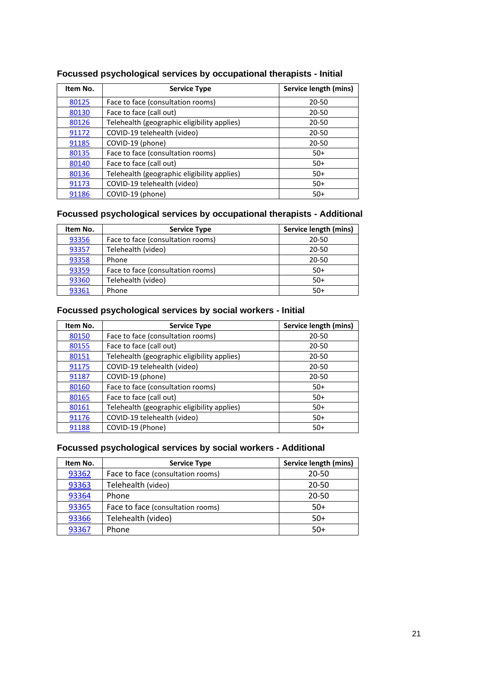| Item No. | <b>Service Type</b>                         | Service length (mins) |
|----------|---------------------------------------------|-----------------------|
| 80125    | Face to face (consultation rooms)           | 20-50                 |
| 80130    | Face to face (call out)                     | $20 - 50$             |
| 80126    | Telehealth (geographic eligibility applies) | 20-50                 |
| 91172    | COVID-19 telehealth (video)                 | 20-50                 |
| 91185    | COVID-19 (phone)                            | 20-50                 |
| 80135    | Face to face (consultation rooms)           | $50+$                 |
| 80140    | Face to face (call out)                     | $50+$                 |
| 80136    | Telehealth (geographic eligibility applies) | $50+$                 |
| 91173    | COVID-19 telehealth (video)                 | $50+$                 |
| 91186    | COVID-19 (phone)                            | $50+$                 |

### **Focussed psychological services by occupational therapists - Initial**

### **Focussed psychological services by occupational therapists - Additional**

| Item No. | <b>Service Type</b>               | Service length (mins) |
|----------|-----------------------------------|-----------------------|
| 93356    | Face to face (consultation rooms) | $20 - 50$             |
| 93357    | Telehealth (video)                | 20-50                 |
| 93358    | Phone                             | 20-50                 |
| 93359    | Face to face (consultation rooms) | $50+$                 |
| 93360    | Telehealth (video)                | $50+$                 |
| 93361    | Phone                             | $50+$                 |

### **Focussed psychological services by social workers - Initial**

| Item No. | <b>Service Type</b>                         | Service length (mins) |
|----------|---------------------------------------------|-----------------------|
| 80150    | Face to face (consultation rooms)           | 20-50                 |
| 80155    | Face to face (call out)                     | 20-50                 |
| 80151    | Telehealth (geographic eligibility applies) | 20-50                 |
| 91175    | COVID-19 telehealth (video)                 | 20-50                 |
| 91187    | COVID-19 (phone)                            | 20-50                 |
| 80160    | Face to face (consultation rooms)           | $50+$                 |
| 80165    | Face to face (call out)                     | $50+$                 |
| 80161    | Telehealth (geographic eligibility applies) | $50+$                 |
| 91176    | COVID-19 telehealth (video)                 | $50+$                 |
| 91188    | COVID-19 (Phone)                            | $50+$                 |

### **Focussed psychological services by social workers - Additional**

| Item No. | <b>Service Type</b>               | Service length (mins) |
|----------|-----------------------------------|-----------------------|
| 93362    | Face to face (consultation rooms) | 20-50                 |
| 93363    | Telehealth (video)                | $20 - 50$             |
| 93364    | Phone                             | $20 - 50$             |
| 93365    | Face to face (consultation rooms) | $50+$                 |
| 93366    | Telehealth (video)                | $50+$                 |
| 93367    | Phone                             | $50+$                 |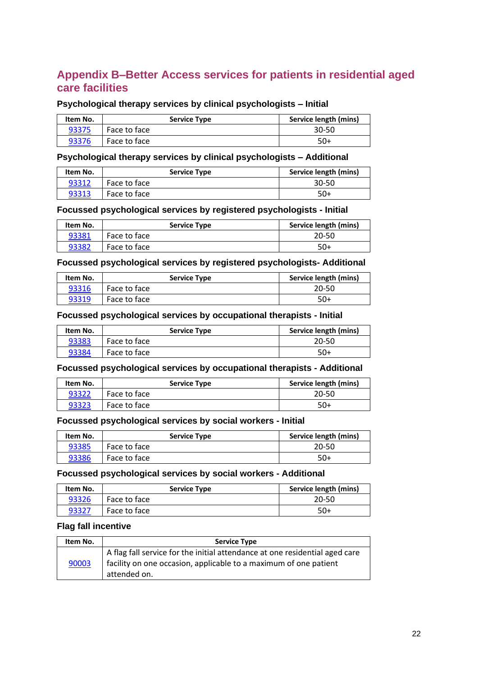### <span id="page-23-0"></span>**Appendix B–Better Access services for patients in residential aged care facilities**

### **Psychological therapy services by clinical psychologists – Initial**

| Item No. | <b>Service Type</b> | Service length (mins) |
|----------|---------------------|-----------------------|
| 93375    | Face to face        | $30 - 50$             |
| 93376    | Face to face        | $50+$                 |

#### **Psychological therapy services by clinical psychologists – Additional**

| Item No. | <b>Service Type</b> | Service length (mins) |
|----------|---------------------|-----------------------|
| 93312    | Face to face        | $30 - 50$             |
| 93313    | Face to face        | $50+$                 |

### **Focussed psychological services by registered psychologists - Initial**

| Item No. | <b>Service Type</b> | Service length (mins) |
|----------|---------------------|-----------------------|
| 93381    | Face to face        | 20-50                 |
| 93382    | Face to face        | $50+$                 |

### **Focussed psychological services by registered psychologists- Additional**

| Item No. | <b>Service Type</b> | Service length (mins) |
|----------|---------------------|-----------------------|
| 93316    | Face to face        | 20-50                 |
| 93319    | Face to face        | 50+                   |

#### **Focussed psychological services by occupational therapists - Initial**

| Item No. | <b>Service Type</b> | Service length (mins) |
|----------|---------------------|-----------------------|
| 93383    | Face to face        | 20-50                 |
| 93384    | Face to face        | $50+$                 |

#### **Focussed psychological services by occupational therapists - Additional**

| Item No. | <b>Service Type</b> | Service length (mins) |
|----------|---------------------|-----------------------|
| 93322    | Face to face        | 20-50                 |
| 93323    | Face to face        | $50+$                 |

#### **Focussed psychological services by social workers - Initial**

| Item No. | <b>Service Type</b> | Service length (mins) |
|----------|---------------------|-----------------------|
| 93385    | Face to face        | 20-50                 |
| 93386    | Face to face        | $50+$                 |

### **Focussed psychological services by social workers - Additional**

| Item No. | <b>Service Type</b> | Service length (mins) |
|----------|---------------------|-----------------------|
| 93326    | Face to face        | 20-50                 |
| 93327    | Face to face        | -50                   |

### **Flag fall incentive**

| Item No. | <b>Service Type</b>                                                                                                                                             |
|----------|-----------------------------------------------------------------------------------------------------------------------------------------------------------------|
| 90003    | A flag fall service for the initial attendance at one residential aged care<br>facility on one occasion, applicable to a maximum of one patient<br>attended on. |